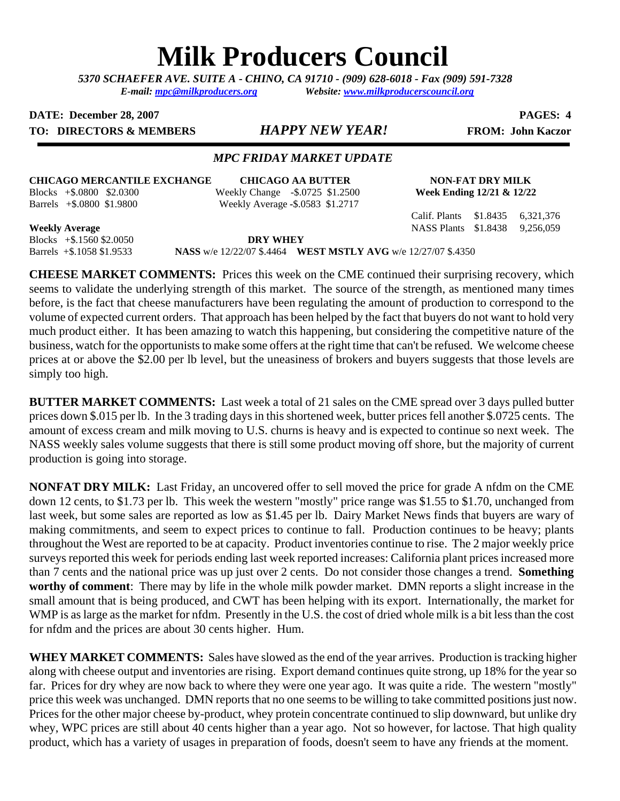# **Milk Producers Council**

*5370 SCHAEFER AVE. SUITE A* **-** *CHINO, CA 91710 - (909) 628-6018 - Fax (909) 591-7328 E-mail: [mpc@milkproducers.org](mailto:mpc@milkproducers.org) Website: [www.milkproducerscouncil.org](http://www.milkproducerscouncil.org/)* 

**DATE:** December 28, 2007 **PAGES:** 4

**TO: DIRECTORS & MEMBERS** *HAPPY NEW YEAR!* **FROM: John Kaczor** 

# *MPC FRIDAY MARKET UPDATE*

**CHICAGO MERCANTILE EXCHANGE CHICAGO AA BUTTER NON-FAT DRY MILK** 

Blocks +\$.0800 \$2.0300 Weekly Change -\$.0725 \$1.2500 **Week Ending 12/21 & 12/22**  Barrels +\$.0800 \$1.9800 Weekly Average **-**\$.0583 \$1.2717

Calif. Plants \$1.8435 6,321,376

**Weekly Average** NASS Plants \$1.8438 9,256,059

Blocks +\$.1560 \$2.0050 **DRY WHEY** 

Barrels +\$.1058 \$1.9533 **NASS** w/e 12/22/07 \$.4464 **WEST MSTLY AVG** w/e 12/27/07 \$.4350

**CHEESE MARKET COMMENTS:** Prices this week on the CME continued their surprising recovery, which seems to validate the underlying strength of this market. The source of the strength, as mentioned many times before, is the fact that cheese manufacturers have been regulating the amount of production to correspond to the volume of expected current orders. That approach has been helped by the fact that buyers do not want to hold very much product either. It has been amazing to watch this happening, but considering the competitive nature of the business, watch for the opportunists to make some offers at the right time that can't be refused. We welcome cheese prices at or above the \$2.00 per lb level, but the uneasiness of brokers and buyers suggests that those levels are simply too high.

**BUTTER MARKET COMMENTS:** Last week a total of 21 sales on the CME spread over 3 days pulled butter prices down \$.015 per lb. In the 3 trading days in this shortened week, butter prices fell another \$.0725 cents. The amount of excess cream and milk moving to U.S. churns is heavy and is expected to continue so next week. The NASS weekly sales volume suggests that there is still some product moving off shore, but the majority of current production is going into storage.

**NONFAT DRY MILK:** Last Friday, an uncovered offer to sell moved the price for grade A nfdm on the CME down 12 cents, to \$1.73 per lb. This week the western "mostly" price range was \$1.55 to \$1.70, unchanged from last week, but some sales are reported as low as \$1.45 per lb. Dairy Market News finds that buyers are wary of making commitments, and seem to expect prices to continue to fall. Production continues to be heavy; plants throughout the West are reported to be at capacity. Product inventories continue to rise. The 2 major weekly price surveys reported this week for periods ending last week reported increases: California plant prices increased more than 7 cents and the national price was up just over 2 cents. Do not consider those changes a trend. **Something worthy of comment**: There may by life in the whole milk powder market. DMN reports a slight increase in the small amount that is being produced, and CWT has been helping with its export. Internationally, the market for WMP is as large as the market for nfdm. Presently in the U.S. the cost of dried whole milk is a bit less than the cost for nfdm and the prices are about 30 cents higher. Hum.

**WHEY MARKET COMMENTS:** Sales have slowed as the end of the year arrives. Production is tracking higher along with cheese output and inventories are rising. Export demand continues quite strong, up 18% for the year so far. Prices for dry whey are now back to where they were one year ago. It was quite a ride. The western "mostly" price this week was unchanged. DMN reports that no one seems to be willing to take committed positions just now. Prices for the other major cheese by-product, whey protein concentrate continued to slip downward, but unlike dry whey, WPC prices are still about 40 cents higher than a year ago. Not so however, for lactose. That high quality product, which has a variety of usages in preparation of foods, doesn't seem to have any friends at the moment.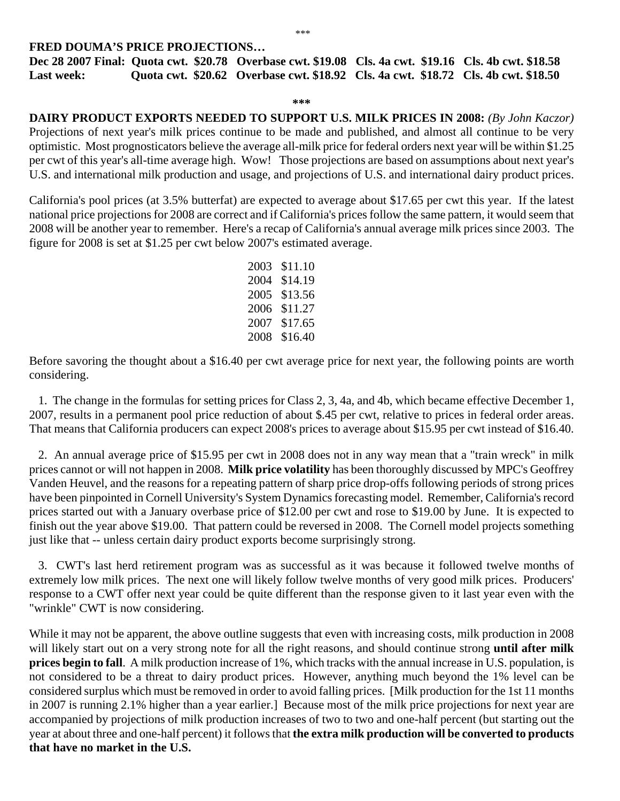## **FRED DOUMA'S PRICE PROJECTIONS…**

**Dec 28 2007 Final: Quota cwt. \$20.78 Overbase cwt. \$19.08 Cls. 4a cwt. \$19.16 Cls. 4b cwt. \$18.58 Last week: Quota cwt. \$20.62 Overbase cwt. \$18.92 Cls. 4a cwt. \$18.72 Cls. 4b cwt. \$18.50** 

### **\*\*\***

**DAIRY PRODUCT EXPORTS NEEDED TO SUPPORT U.S. MILK PRICES IN 2008:** *(By John Kaczor)* Projections of next year's milk prices continue to be made and published, and almost all continue to be very optimistic. Most prognosticators believe the average all-milk price for federal orders next year will be within \$1.25 per cwt of this year's all-time average high. Wow! Those projections are based on assumptions about next year's U.S. and international milk production and usage, and projections of U.S. and international dairy product prices.

California's pool prices (at 3.5% butterfat) are expected to average about \$17.65 per cwt this year. If the latest national price projections for 2008 are correct and if California's prices follow the same pattern, it would seem that 2008 will be another year to remember. Here's a recap of California's annual average milk prices since 2003. The figure for 2008 is set at \$1.25 per cwt below 2007's estimated average.

> 2003 \$11.10 2004 \$14.19 2005 \$13.56 2006 \$11.27 2007 \$17.65 2008 \$16.40

Before savoring the thought about a \$16.40 per cwt average price for next year, the following points are worth considering.

 1. The change in the formulas for setting prices for Class 2, 3, 4a, and 4b, which became effective December 1, 2007, results in a permanent pool price reduction of about \$.45 per cwt, relative to prices in federal order areas. That means that California producers can expect 2008's prices to average about \$15.95 per cwt instead of \$16.40.

 2. An annual average price of \$15.95 per cwt in 2008 does not in any way mean that a "train wreck" in milk prices cannot or will not happen in 2008. **Milk price volatility** has been thoroughly discussed by MPC's Geoffrey Vanden Heuvel, and the reasons for a repeating pattern of sharp price drop-offs following periods of strong prices have been pinpointed in Cornell University's System Dynamics forecasting model. Remember, California's record prices started out with a January overbase price of \$12.00 per cwt and rose to \$19.00 by June. It is expected to finish out the year above \$19.00. That pattern could be reversed in 2008. The Cornell model projects something just like that -- unless certain dairy product exports become surprisingly strong.

 3. CWT's last herd retirement program was as successful as it was because it followed twelve months of extremely low milk prices. The next one will likely follow twelve months of very good milk prices. Producers' response to a CWT offer next year could be quite different than the response given to it last year even with the "wrinkle" CWT is now considering.

While it may not be apparent, the above outline suggests that even with increasing costs, milk production in 2008 will likely start out on a very strong note for all the right reasons, and should continue strong **until after milk prices begin to fall**. A milk production increase of 1%, which tracks with the annual increase in U.S. population, is not considered to be a threat to dairy product prices. However, anything much beyond the 1% level can be considered surplus which must be removed in order to avoid falling prices. [Milk production for the 1st 11 months in 2007 is running 2.1% higher than a year earlier.] Because most of the milk price projections for next year are accompanied by projections of milk production increases of two to two and one-half percent (but starting out the year at about three and one-half percent) it follows that **the extra milk production will be converted to products that have no market in the U.S.**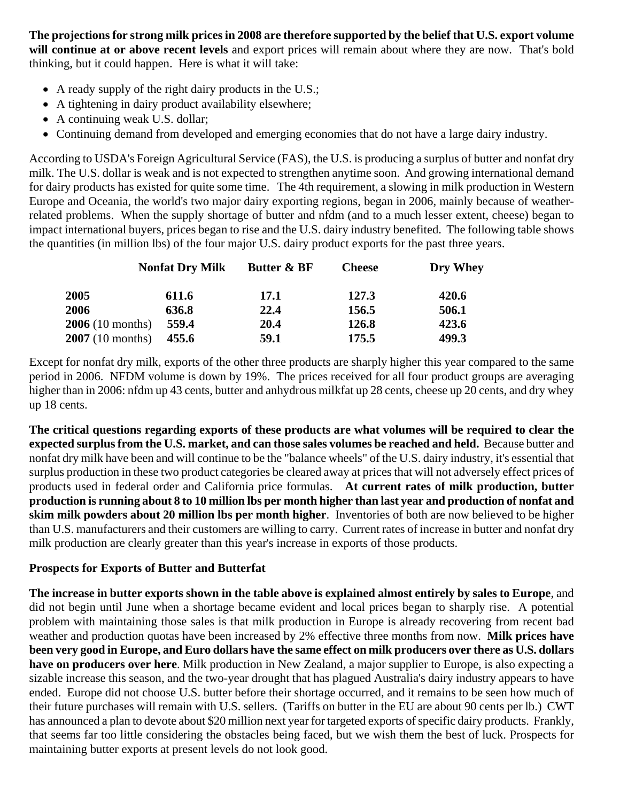**The projections for strong milk prices in 2008 are therefore supported by the belief that U.S. export volume will continue at or above recent levels** and export prices will remain about where they are now. That's bold thinking, but it could happen. Here is what it will take:

- A ready supply of the right dairy products in the U.S.;
- A tightening in dairy product availability elsewhere;
- A continuing weak U.S. dollar;
- Continuing demand from developed and emerging economies that do not have a large dairy industry.

According to USDA's Foreign Agricultural Service (FAS), the U.S. is producing a surplus of butter and nonfat dry milk. The U.S. dollar is weak and is not expected to strengthen anytime soon. And growing international demand for dairy products has existed for quite some time. The 4th requirement, a slowing in milk production in Western Europe and Oceania, the world's two major dairy exporting regions, began in 2006, mainly because of weatherrelated problems. When the supply shortage of butter and nfdm (and to a much lesser extent, cheese) began to impact international buyers, prices began to rise and the U.S. dairy industry benefited. The following table shows the quantities (in million lbs) of the four major U.S. dairy product exports for the past three years.

|                           | <b>Nonfat Dry Milk</b> | <b>Butter &amp; BF</b> | <b>Cheese</b> | Dry Whey |
|---------------------------|------------------------|------------------------|---------------|----------|
| 2005                      | 611.6                  | <b>17.1</b>            | 127.3         | 420.6    |
| 2006                      | 636.8                  | 22.4                   | 156.5         | 506.1    |
| $2006(10 \text{ months})$ | 559.4                  | 20.4                   | 126.8         | 423.6    |
| $2007(10 \text{ months})$ | 455.6                  | 59.1                   | 175.5         | 499.3    |

Except for nonfat dry milk, exports of the other three products are sharply higher this year compared to the same period in 2006. NFDM volume is down by 19%. The prices received for all four product groups are averaging higher than in 2006: nfdm up 43 cents, butter and anhydrous milkfat up 28 cents, cheese up 20 cents, and dry whey up 18 cents.

**The critical questions regarding exports of these products are what volumes will be required to clear the expected surplus from the U.S. market, and can those sales volumes be reached and held.** Because butter and nonfat dry milk have been and will continue to be the "balance wheels" of the U.S. dairy industry, it's essential that surplus production in these two product categories be cleared away at prices that will not adversely effect prices of products used in federal order and California price formulas. **At current rates of milk production, butter production is running about 8 to 10 million lbs per month higher than last year and production of nonfat and skim milk powders about 20 million lbs per month higher**. Inventories of both are now believed to be higher than U.S. manufacturers and their customers are willing to carry. Current rates of increase in butter and nonfat dry milk production are clearly greater than this year's increase in exports of those products.

# **Prospects for Exports of Butter and Butterfat**

**The increase in butter exports shown in the table above is explained almost entirely by sales to Europe**, and did not begin until June when a shortage became evident and local prices began to sharply rise. A potential problem with maintaining those sales is that milk production in Europe is already recovering from recent bad weather and production quotas have been increased by 2% effective three months from now. **Milk prices have been very good in Europe, and Euro dollars have the same effect on milk producers over there as U.S. dollars have on producers over here**. Milk production in New Zealand, a major supplier to Europe, is also expecting a sizable increase this season, and the two-year drought that has plagued Australia's dairy industry appears to have ended. Europe did not choose U.S. butter before their shortage occurred, and it remains to be seen how much of their future purchases will remain with U.S. sellers. (Tariffs on butter in the EU are about 90 cents per lb.) CWT has announced a plan to devote about \$20 million next year for targeted exports of specific dairy products. Frankly, that seems far too little considering the obstacles being faced, but we wish them the best of luck. Prospects for maintaining butter exports at present levels do not look good.